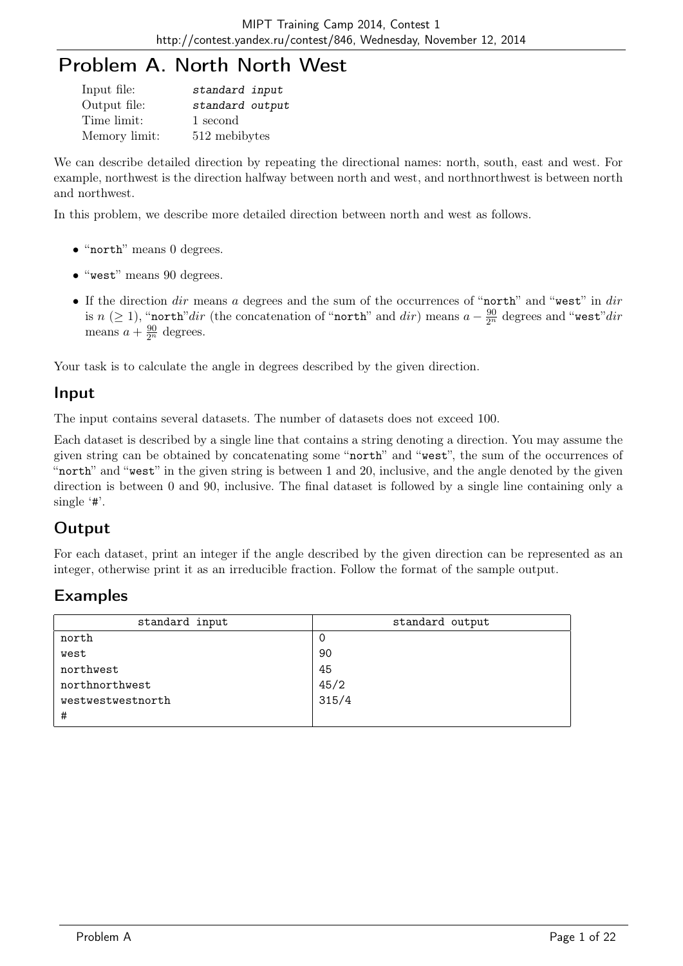# Problem A. North North West

| Input file:   | standard input  |
|---------------|-----------------|
| Output file:  | standard output |
| Time limit:   | 1 second        |
| Memory limit: | 512 mebibytes   |

We can describe detailed direction by repeating the directional names: north, south, east and west. For example, northwest is the direction halfway between north and west, and northnorthwest is between north and northwest.

In this problem, we describe more detailed direction between north and west as follows.

- "north" means 0 degrees.
- "west" means 90 degrees.
- If the direction  $dir$  means a degrees and the sum of the occurrences of "north" and "west" in  $dir$ is  $n \ (\geq 1)$ , "north"dir (the concatenation of "north" and dir) means  $a - \frac{90}{2^n}$  degrees and "west"dir means  $a + \frac{90}{2^n}$  degrees.

Your task is to calculate the angle in degrees described by the given direction.

#### Input

The input contains several datasets. The number of datasets does not exceed 100.

Each dataset is described by a single line that contains a string denoting a direction. You may assume the given string can be obtained by concatenating some "north" and "west", the sum of the occurrences of "north" and "west" in the given string is between 1 and 20, inclusive, and the angle denoted by the given direction is between 0 and 90, inclusive. The final dataset is followed by a single line containing only a single '#'.

### **Output**

For each dataset, print an integer if the angle described by the given direction can be represented as an integer, otherwise print it as an irreducible fraction. Follow the format of the sample output.

| standard input    | standard output |
|-------------------|-----------------|
| north             | O               |
| west              | 90              |
| northwest         | 45              |
| northnorthwest    | 45/2            |
| westwestwestnorth | 315/4           |
| #                 |                 |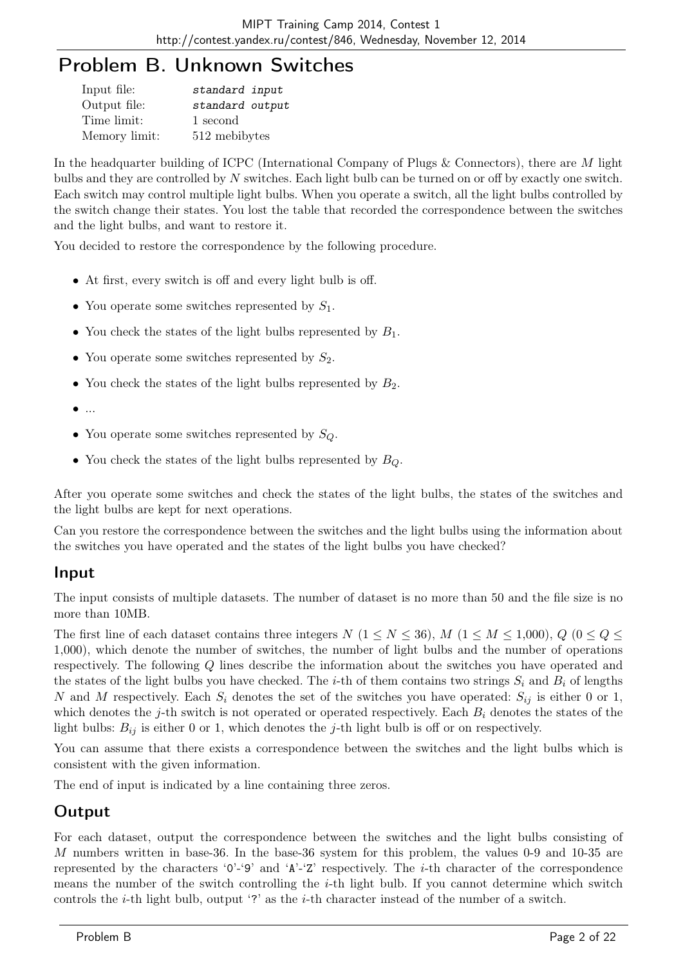# Problem B. Unknown Switches

| Input file:   | standard input  |
|---------------|-----------------|
| Output file:  | standard output |
| Time limit:   | 1 second        |
| Memory limit: | 512 mebibytes   |

In the headquarter building of ICPC (International Company of Plugs & Connectors), there are M light bulbs and they are controlled by N switches. Each light bulb can be turned on or off by exactly one switch. Each switch may control multiple light bulbs. When you operate a switch, all the light bulbs controlled by the switch change their states. You lost the table that recorded the correspondence between the switches and the light bulbs, and want to restore it.

You decided to restore the correspondence by the following procedure.

- At first, every switch is off and every light bulb is off.
- You operate some switches represented by  $S_1$ .
- You check the states of the light bulbs represented by  $B_1$ .
- You operate some switches represented by  $S_2$ .
- You check the states of the light bulbs represented by  $B_2$ .
- $\bullet$  ...
- You operate some switches represented by  $S_Q$ .
- You check the states of the light bulbs represented by  $B_Q$ .

After you operate some switches and check the states of the light bulbs, the states of the switches and the light bulbs are kept for next operations.

Can you restore the correspondence between the switches and the light bulbs using the information about the switches you have operated and the states of the light bulbs you have checked?

#### Input

The input consists of multiple datasets. The number of dataset is no more than 50 and the file size is no more than 10MB.

The first line of each dataset contains three integers N  $(1 \le N \le 36)$ , M  $(1 \le M \le 1,000)$ , Q  $(0 \le Q \le$ 1,000), which denote the number of switches, the number of light bulbs and the number of operations respectively. The following Q lines describe the information about the switches you have operated and the states of the light bulbs you have checked. The *i*-th of them contains two strings  $S_i$  and  $B_i$  of lengths N and M respectively. Each  $S_i$  denotes the set of the switches you have operated:  $S_{ij}$  is either 0 or 1, which denotes the j-th switch is not operated or operated respectively. Each  $B_i$  denotes the states of the light bulbs:  $B_{ij}$  is either 0 or 1, which denotes the j-th light bulb is off or on respectively.

You can assume that there exists a correspondence between the switches and the light bulbs which is consistent with the given information.

The end of input is indicated by a line containing three zeros.

#### **Output**

For each dataset, output the correspondence between the switches and the light bulbs consisting of M numbers written in base-36. In the base-36 system for this problem, the values 0-9 and 10-35 are represented by the characters '0'-'9' and 'A'-'Z' respectively. The *i*-th character of the correspondence means the number of the switch controlling the  $i$ -th light bulb. If you cannot determine which switch controls the *i*-th light bulb, output '?' as the *i*-th character instead of the number of a switch.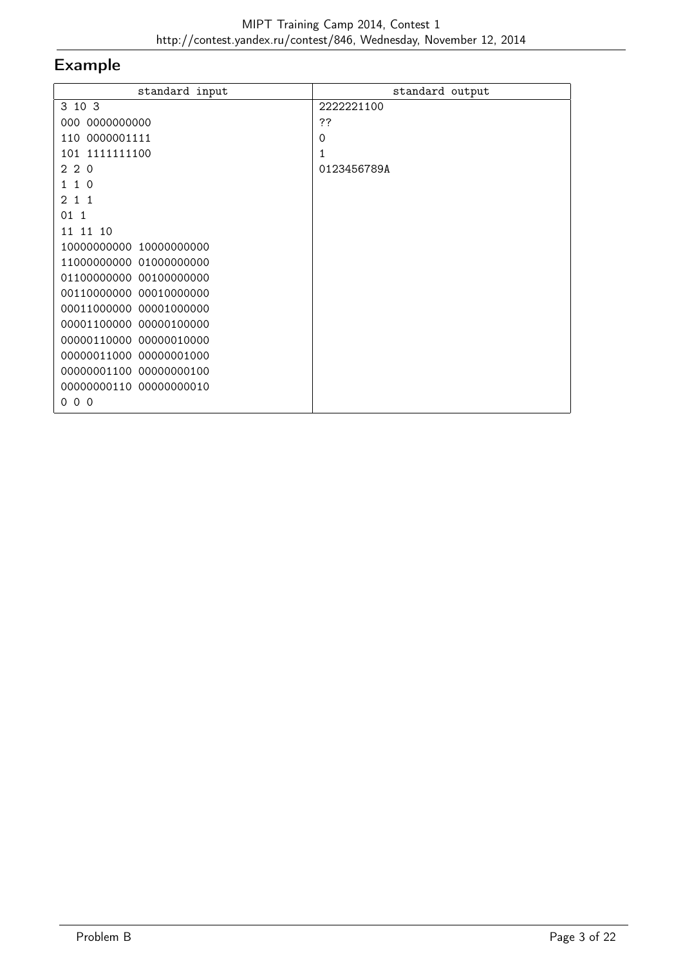| standard input          | standard output |
|-------------------------|-----------------|
| 3 10 3                  | 2222221100      |
| 000 0000000000          | ??              |
| 110 0000001111          | 0               |
| 101 1111111100          | 1               |
| 220                     | 0123456789A     |
| $1\quad1\quad0$         |                 |
| $2 \; 1 \; 1$           |                 |
| 011                     |                 |
| 11 11 10                |                 |
| 10000000000 10000000000 |                 |
| 11000000000 01000000000 |                 |
| 01100000000 00100000000 |                 |
| 00110000000 00010000000 |                 |
| 00011000000 00001000000 |                 |
| 00001100000 00000100000 |                 |
| 00000110000 00000010000 |                 |
| 00000011000 00000001000 |                 |
| 00000001100 00000000100 |                 |
| 00000000110 00000000010 |                 |
| 000                     |                 |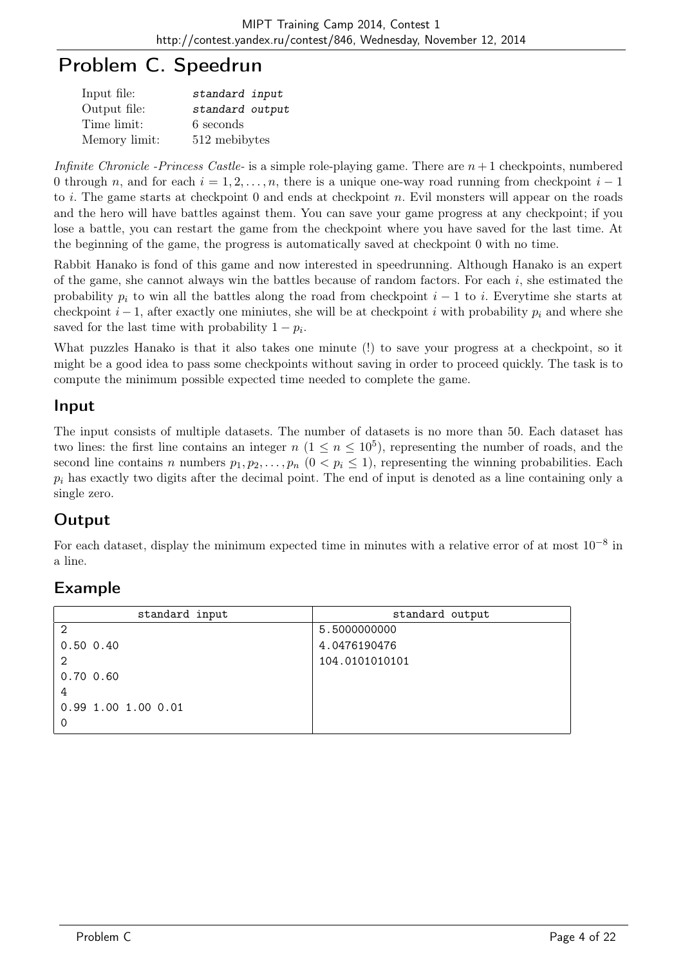## Problem C. Speedrun

| Input file:   | standard input  |
|---------------|-----------------|
| Output file:  | standard output |
| Time limit:   | 6 seconds       |
| Memory limit: | 512 mebibytes   |

Infinite Chronicle -Princess Castle- is a simple role-playing game. There are  $n+1$  checkpoints, numbered 0 through n, and for each  $i = 1, 2, \ldots, n$ , there is a unique one-way road running from checkpoint  $i - 1$ to i. The game starts at checkpoint 0 and ends at checkpoint n. Evil monsters will appear on the roads and the hero will have battles against them. You can save your game progress at any checkpoint; if you lose a battle, you can restart the game from the checkpoint where you have saved for the last time. At the beginning of the game, the progress is automatically saved at checkpoint 0 with no time.

Rabbit Hanako is fond of this game and now interested in speedrunning. Although Hanako is an expert of the game, she cannot always win the battles because of random factors. For each  $i$ , she estimated the probability  $p_i$  to win all the battles along the road from checkpoint  $i - 1$  to i. Everytime she starts at checkpoint  $i-1$ , after exactly one miniutes, she will be at checkpoint i with probability  $p_i$  and where she saved for the last time with probability  $1 - p_i$ .

What puzzles Hanako is that it also takes one minute (!) to save your progress at a checkpoint, so it might be a good idea to pass some checkpoints without saving in order to proceed quickly. The task is to compute the minimum possible expected time needed to complete the game.

#### Input

The input consists of multiple datasets. The number of datasets is no more than 50. Each dataset has two lines: the first line contains an integer  $n (1 \le n \le 10^5)$ , representing the number of roads, and the second line contains n numbers  $p_1, p_2, \ldots, p_n$   $(0 \lt p_i \leq 1)$ , representing the winning probabilities. Each  $p_i$  has exactly two digits after the decimal point. The end of input is denoted as a line containing only a single zero.

## **Output**

For each dataset, display the minimum expected time in minutes with a relative error of at most  $10^{-8}$  in a line.

| standard input        | standard output |
|-----------------------|-----------------|
| $\overline{2}$        | 5.5000000000    |
| $0.50 \; 0.40$        | 4.0476190476    |
| 2                     | 104.0101010101  |
| $0.70\;0.60$          |                 |
| 4                     |                 |
| $0.99$ 1.00 1.00 0.01 |                 |
| 0                     |                 |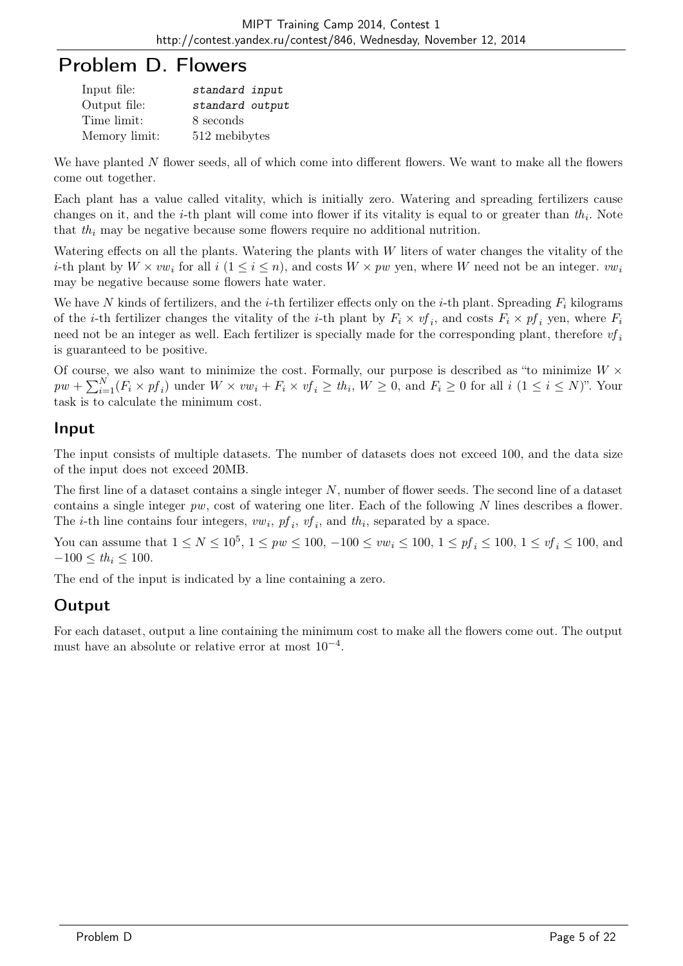## Problem D. Flowers

| Input file:   | standard input  |
|---------------|-----------------|
| Output file:  | standard output |
| Time limit:   | 8 seconds       |
| Memory limit: | 512 mebibytes   |

We have planted N flower seeds, all of which come into different flowers. We want to make all the flowers come out together.

Each plant has a value called vitality, which is initially zero. Watering and spreading fertilizers cause changes on it, and the *i*-th plant will come into flower if its vitality is equal to or greater than  $th_i$ . Note that  $th_i$  may be negative because some flowers require no additional nutrition.

Watering effects on all the plants. Watering the plants with  $W$  liters of water changes the vitality of the *i*-th plant by  $W \times vw_i$  for all  $i$  ( $1 \le i \le n$ ), and costs  $W \times pw$  yen, where W need not be an integer.  $vw_i$ may be negative because some flowers hate water.

We have N kinds of fertilizers, and the *i*-th fertilizer effects only on the *i*-th plant. Spreading  $F_i$  kilograms of the *i*-th fertilizer changes the vitality of the *i*-th plant by  $F_i \times vf_i$ , and costs  $F_i \times pf_i$  yen, where  $F_i$ need not be an integer as well. Each fertilizer is specially made for the corresponding plant, therefore  $v f_i$ is guaranteed to be positive.

Of course, we also want to minimize the cost. Formally, our purpose is described as "to minimize  $W \times$  $pw + \sum_{i=1}^{N} (F_i \times pf_i)$  under  $W \times vw_i + F_i \times vf_i \geq th_i$ ,  $W \geq 0$ , and  $F_i \geq 0$  for all  $i$   $(1 \leq i \leq N)$ ". Your task is to calculate the minimum cost.

#### Input

The input consists of multiple datasets. The number of datasets does not exceed 100, and the data size of the input does not exceed 20MB.

The first line of a dataset contains a single integer N, number of flower seeds. The second line of a dataset contains a single integer  $pw$ , cost of watering one liter. Each of the following N lines describes a flower. The *i*-th line contains four integers,  $vw_i$ ,  $pf_i$ ,  $vf_i$ , and  $th_i$ , separated by a space.

You can assume that  $1 \le N \le 10^5$ ,  $1 \le pw \le 100$ ,  $-100 \le vw_i \le 100$ ,  $1 \le pf_i \le 100$ ,  $1 \le vf_i \le 100$ , and  $-100 \leq th_i \leq 100$ .

The end of the input is indicated by a line containing a zero.

#### Output

For each dataset, output a line containing the minimum cost to make all the flowers come out. The output must have an absolute or relative error at most  $10^{-4}$ .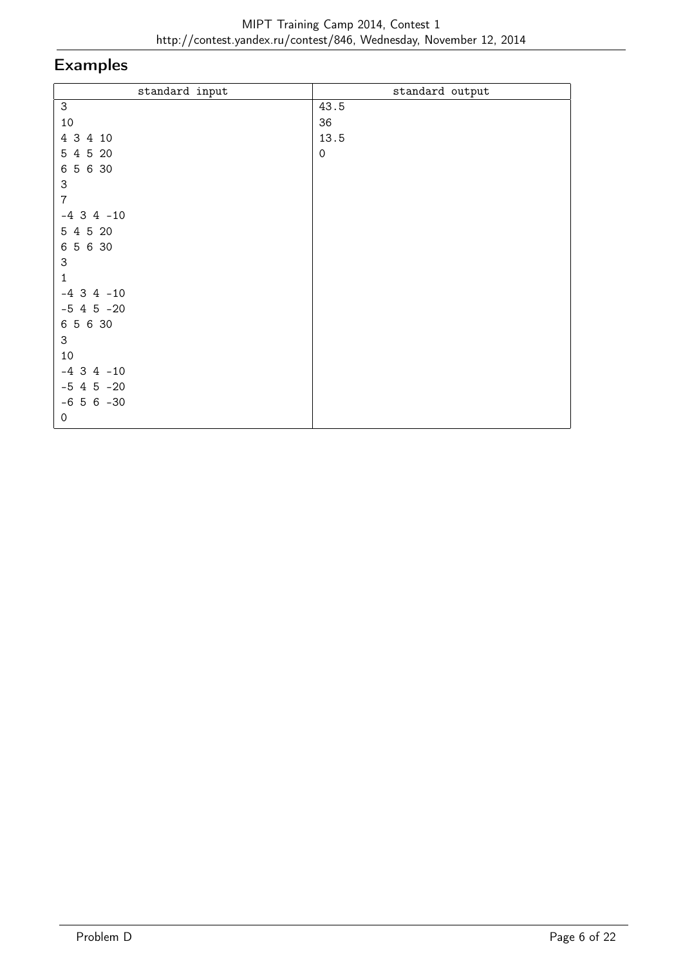| standard input      | standard output     |
|---------------------|---------------------|
| $\mathsf{3}$        | 43.5                |
| 10                  | 36                  |
| 4 3 4 10            | 13.5                |
| 5 4 5 20            | $\mathsf{O}\xspace$ |
| 6 5 6 30            |                     |
| 3                   |                     |
| $\overline{7}$      |                     |
| $-4$ 3 4 $-10$      |                     |
| 5 4 5 20            |                     |
| 6 5 6 30            |                     |
| 3                   |                     |
| $\mathbf{1}$        |                     |
| $-4$ 3 4 $-10$      |                     |
| $-5$ 4 5 $-20$      |                     |
| 6 5 6 30            |                     |
| 3                   |                     |
| $10$                |                     |
| $-4$ 3 4 $-10$      |                     |
| $-5$ 4 5 $-20$      |                     |
| $-6$ 5 6 $-30$      |                     |
| $\mathsf{O}\xspace$ |                     |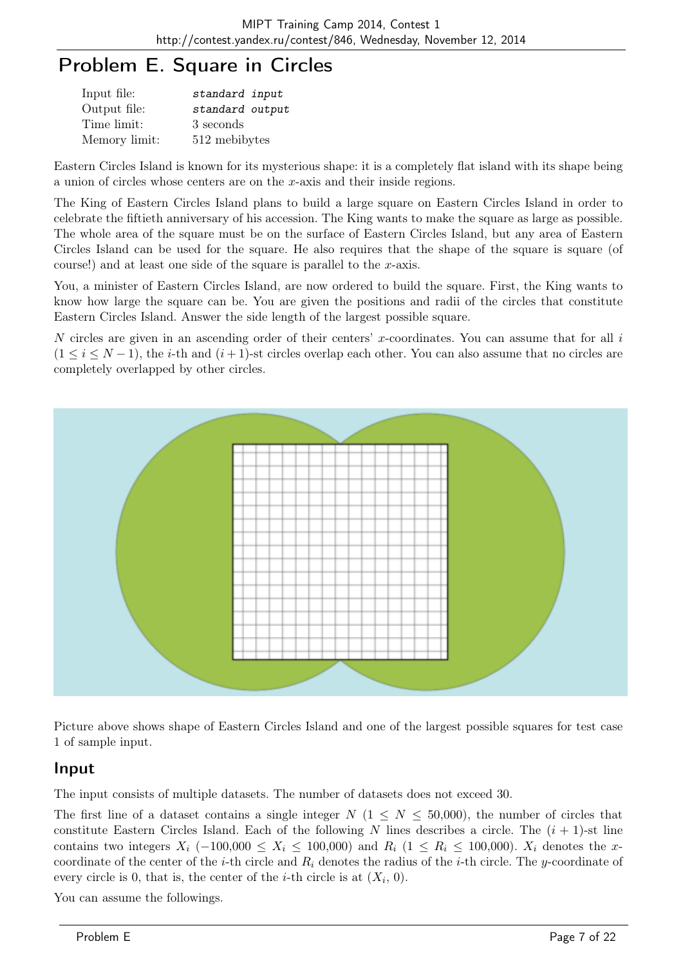# Problem E. Square in Circles

| Input file:   | standard input  |
|---------------|-----------------|
| Output file:  | standard output |
| Time limit:   | 3 seconds       |
| Memory limit: | 512 mebibytes   |

Eastern Circles Island is known for its mysterious shape: it is a completely flat island with its shape being a union of circles whose centers are on the x-axis and their inside regions.

The King of Eastern Circles Island plans to build a large square on Eastern Circles Island in order to celebrate the fiftieth anniversary of his accession. The King wants to make the square as large as possible. The whole area of the square must be on the surface of Eastern Circles Island, but any area of Eastern Circles Island can be used for the square. He also requires that the shape of the square is square (of course!) and at least one side of the square is parallel to the x-axis.

You, a minister of Eastern Circles Island, are now ordered to build the square. First, the King wants to know how large the square can be. You are given the positions and radii of the circles that constitute Eastern Circles Island. Answer the side length of the largest possible square.

N circles are given in an ascending order of their centers' x-coordinates. You can assume that for all  $i$  $(1 \leq i \leq N-1)$ , the *i*-th and  $(i+1)$ -st circles overlap each other. You can also assume that no circles are completely overlapped by other circles.



Picture above shows shape of Eastern Circles Island and one of the largest possible squares for test case 1 of sample input.

#### Input

The input consists of multiple datasets. The number of datasets does not exceed 30.

The first line of a dataset contains a single integer  $N$  ( $1 \le N \le 50,000$ ), the number of circles that constitute Eastern Circles Island. Each of the following N lines describes a circle. The  $(i + 1)$ -st line contains two integers  $X_i$  (-100,000 ≤  $X_i$  ≤ 100,000) and  $R_i$  (1 ≤  $R_i$  ≤ 100,000).  $X_i$  denotes the xcoordinate of the center of the *i*-th circle and  $R_i$  denotes the radius of the *i*-th circle. The y-coordinate of every circle is 0, that is, the center of the *i*-th circle is at  $(X_i, 0)$ .

You can assume the followings.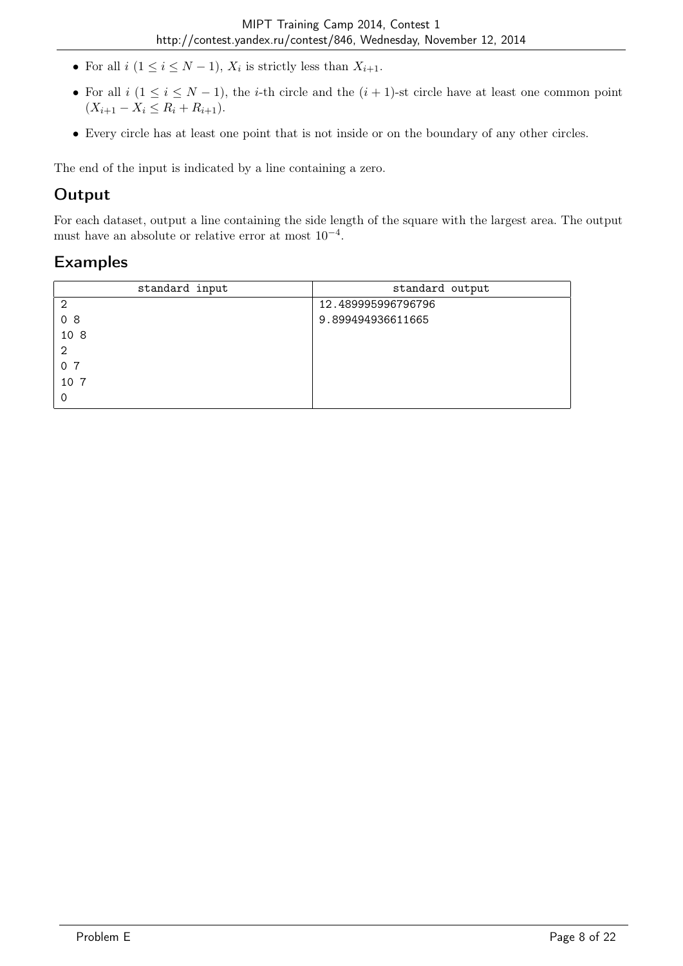- For all  $i$   $(1 \leq i \leq N-1)$ ,  $X_i$  is strictly less than  $X_{i+1}$ .
- For all  $i$   $(1 \le i \le N-1)$ , the *i*-th circle and the  $(i + 1)$ -st circle have at least one common point  $(X_{i+1} - X_i \leq R_i + R_{i+1}).$
- Every circle has at least one point that is not inside or on the boundary of any other circles.

The end of the input is indicated by a line containing a zero.

## **Output**

For each dataset, output a line containing the side length of the square with the largest area. The output must have an absolute or relative error at most  $10^{-4}$ .

| standard input | standard output    |
|----------------|--------------------|
| 2              | 12.489995996796796 |
| 08             | 9.899494936611665  |
| 10 8           |                    |
| 2              |                    |
| 0 7            |                    |
| 10 7           |                    |
| 0              |                    |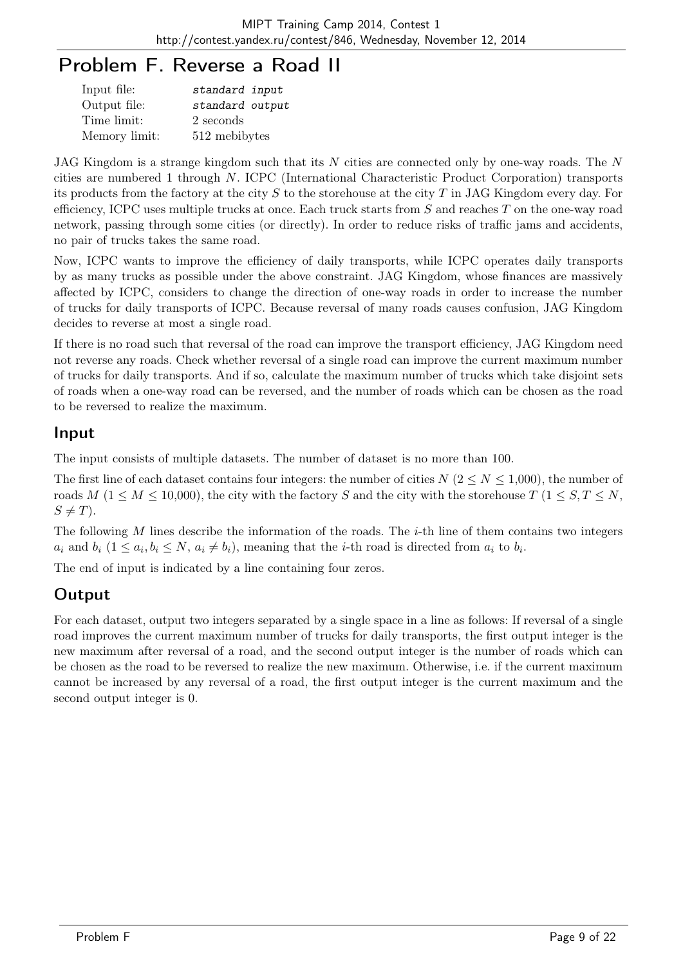# Problem F. Reverse a Road II

| Input file:   | standard input  |
|---------------|-----------------|
| Output file:  | standard output |
| Time limit:   | 2 seconds       |
| Memory limit: | 512 mebibytes   |

JAG Kingdom is a strange kingdom such that its  $N$  cities are connected only by one-way roads. The  $N$ cities are numbered 1 through N. ICPC (International Characteristic Product Corporation) transports its products from the factory at the city S to the storehouse at the city T in JAG Kingdom every day. For efficiency, ICPC uses multiple trucks at once. Each truck starts from  $S$  and reaches  $T$  on the one-way road network, passing through some cities (or directly). In order to reduce risks of traffic jams and accidents, no pair of trucks takes the same road.

Now, ICPC wants to improve the efficiency of daily transports, while ICPC operates daily transports by as many trucks as possible under the above constraint. JAG Kingdom, whose finances are massively affected by ICPC, considers to change the direction of one-way roads in order to increase the number of trucks for daily transports of ICPC. Because reversal of many roads causes confusion, JAG Kingdom decides to reverse at most a single road.

If there is no road such that reversal of the road can improve the transport efficiency, JAG Kingdom need not reverse any roads. Check whether reversal of a single road can improve the current maximum number of trucks for daily transports. And if so, calculate the maximum number of trucks which take disjoint sets of roads when a one-way road can be reversed, and the number of roads which can be chosen as the road to be reversed to realize the maximum.

#### Input

The input consists of multiple datasets. The number of dataset is no more than 100.

The first line of each dataset contains four integers: the number of cities  $N (2 \le N \le 1,000)$ , the number of roads M (1 < M < 10,000), the city with the factory S and the city with the storehouse T (1 < S, T < N,  $S \neq T$ ).

The following  $M$  lines describe the information of the roads. The  $i$ -th line of them contains two integers  $a_i$  and  $b_i$   $(1 \le a_i, b_i \le N, a_i \ne b_i)$ , meaning that the *i*-th road is directed from  $a_i$  to  $b_i$ .

The end of input is indicated by a line containing four zeros.

## **Output**

For each dataset, output two integers separated by a single space in a line as follows: If reversal of a single road improves the current maximum number of trucks for daily transports, the first output integer is the new maximum after reversal of a road, and the second output integer is the number of roads which can be chosen as the road to be reversed to realize the new maximum. Otherwise, i.e. if the current maximum cannot be increased by any reversal of a road, the first output integer is the current maximum and the second output integer is 0.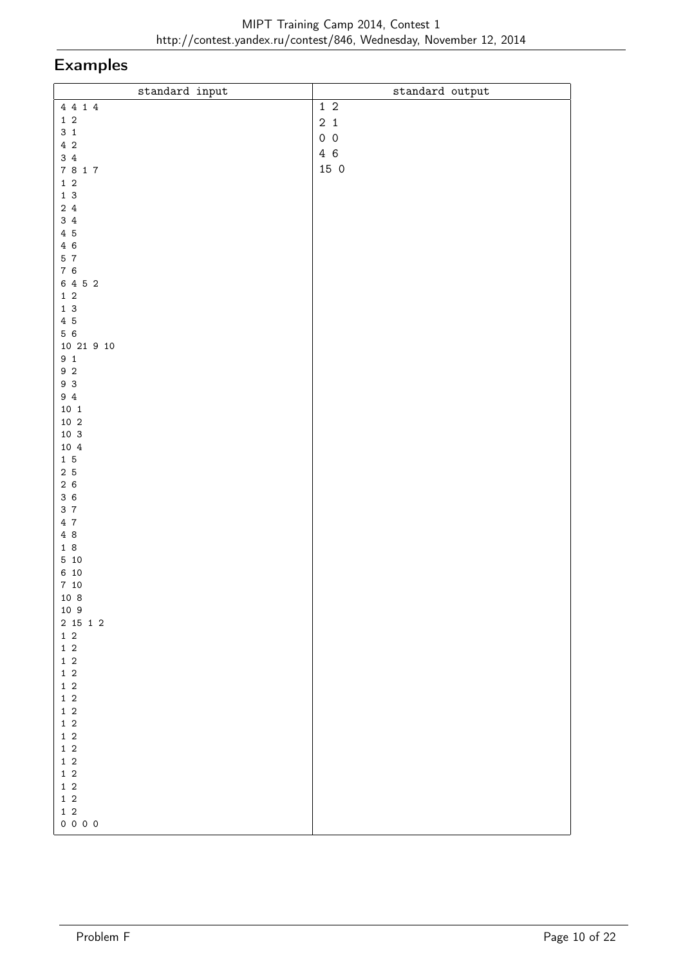| $\texttt{standard}$ input | standard output |
|---------------------------|-----------------|
| 4 4 1 4                   | $1\,2$          |
| $1\,$ $2\,$               | 2 <sub>1</sub>  |
| 3 <sub>1</sub>            | $0\quad 0$      |
| 4 <sub>2</sub>            |                 |
| $3\quad 4$                | 46              |
| 7 8 1 7                   | 15 0            |
| $1\,$ 2                   |                 |
| $1\,$ $3\,$               |                 |
| $2\,$ 4<br>34             |                 |
| 4 5                       |                 |
| 46                        |                 |
| 5 7                       |                 |
| 7 6                       |                 |
| 6 4 5 2                   |                 |
| $1\,$ $2\,$               |                 |
| 13                        |                 |
| 45                        |                 |
| 56                        |                 |
| 10 21 9 10                |                 |
| 91                        |                 |
| 92<br>9 3                 |                 |
| 94                        |                 |
| $10\,1$                   |                 |
| $10\,$ $2\,$              |                 |
| 10 3                      |                 |
| 10 4                      |                 |
| $1\,$ 5                   |                 |
| $2\,$ 5                   |                 |
| 26                        |                 |
| 36                        |                 |
| 3 7                       |                 |
| 4 7<br>4 8                |                 |
| $1\,$ 8                   |                 |
| 5 10                      |                 |
| 6 10                      |                 |
| 710                       |                 |
| $10\,$ 8                  |                 |
| 10 9                      |                 |
| $2\ 15\ 1\ 2$             |                 |
| $1\,$ 2                   |                 |
| $1\,$ 2                   |                 |
| $1\,$ 2<br>$1\,$ 2        |                 |
| $1\,$ 2                   |                 |
| $1\,$ $2\,$               |                 |
| $1\,$ 2                   |                 |
| $1\ 2$                    |                 |
| $1\,$ 2                   |                 |
| $1\,$ 2                   |                 |
| $1\,$ 2                   |                 |
| $1\,$ 2                   |                 |
| $1\,$ $2\,$               |                 |
| $1\,$ 2                   |                 |
| $1\quad 2$                |                 |
| 0 0 0 0                   |                 |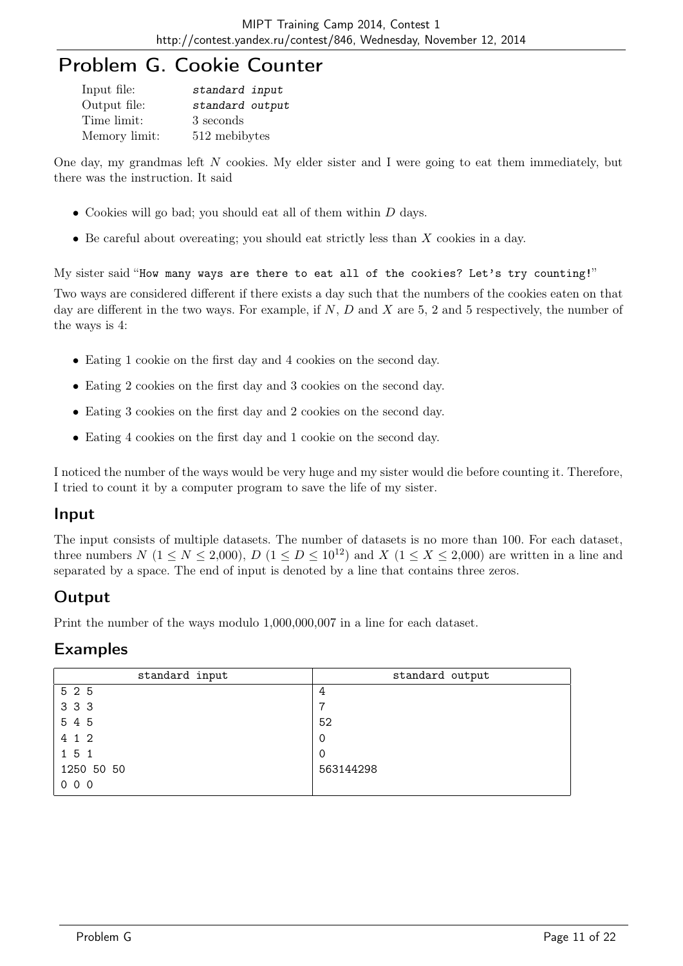## Problem G. Cookie Counter

| Input file:   | standard input  |
|---------------|-----------------|
| Output file:  | standard output |
| Time limit:   | 3 seconds       |
| Memory limit: | 512 mebibytes   |

One day, my grandmas left N cookies. My elder sister and I were going to eat them immediately, but there was the instruction. It said

- Cookies will go bad; you should eat all of them within  $D$  days.
- $\bullet$  Be careful about overeating; you should eat strictly less than  $X$  cookies in a day.

My sister said "How many ways are there to eat all of the cookies? Let's try counting!"

Two ways are considered different if there exists a day such that the numbers of the cookies eaten on that day are different in the two ways. For example, if  $N$ ,  $D$  and  $X$  are 5, 2 and 5 respectively, the number of the ways is 4:

- Eating 1 cookie on the first day and 4 cookies on the second day.
- Eating 2 cookies on the first day and 3 cookies on the second day.
- Eating 3 cookies on the first day and 2 cookies on the second day.
- Eating 4 cookies on the first day and 1 cookie on the second day.

I noticed the number of the ways would be very huge and my sister would die before counting it. Therefore, I tried to count it by a computer program to save the life of my sister.

#### Input

The input consists of multiple datasets. The number of datasets is no more than 100. For each dataset, three numbers  $N$  ( $1 \le N \le 2,000$ ),  $D$  ( $1 \le D \le 10^{12}$ ) and  $X$  ( $1 \le X \le 2,000$ ) are written in a line and separated by a space. The end of input is denoted by a line that contains three zeros.

#### **Output**

Print the number of the ways modulo 1,000,000,007 in a line for each dataset.

| standard input | standard output |  |
|----------------|-----------------|--|
| 5 2 5          | 4               |  |
| 3 3 3          |                 |  |
| 545            | 52              |  |
| 4 1 2          | 0               |  |
| 1 5 1          | 0               |  |
| 1250 50 50     | 563144298       |  |
| 000            |                 |  |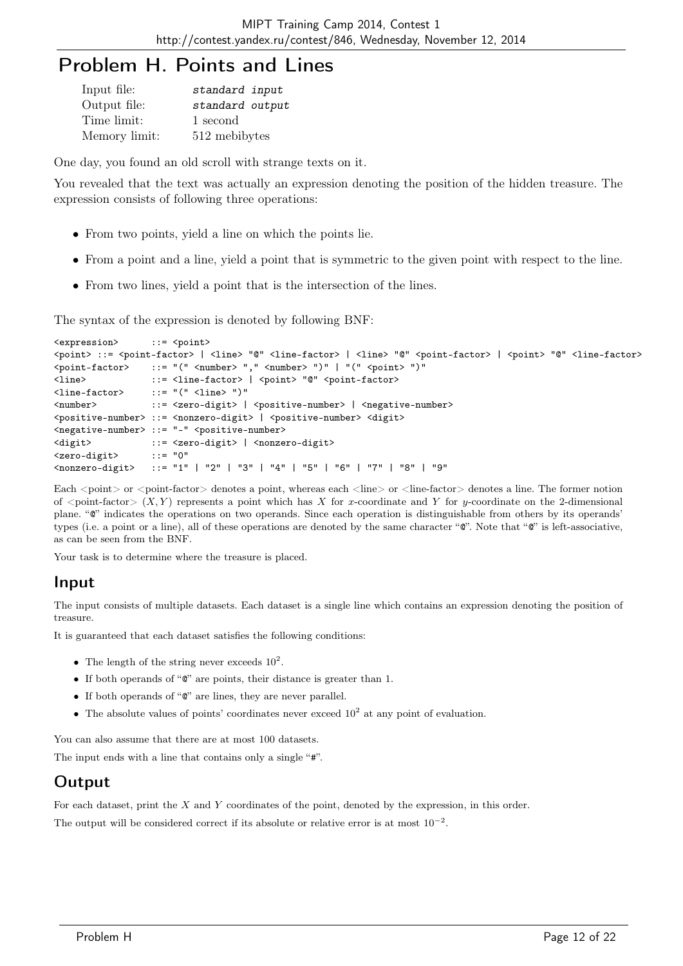## Problem H. Points and Lines

| Input file:   | standard input  |
|---------------|-----------------|
| Output file:  | standard output |
| Time limit:   | 1 second        |
| Memory limit: | 512 mebibytes   |

One day, you found an old scroll with strange texts on it.

You revealed that the text was actually an expression denoting the position of the hidden treasure. The expression consists of following three operations:

- From two points, yield a line on which the points lie.
- From a point and a line, yield a point that is symmetric to the given point with respect to the line.
- From two lines, yield a point that is the intersection of the lines.

The syntax of the expression is denoted by following BNF:

```
<expression> ::= <point>
<point> ::= <point-factor> | <line> "@" <line-factor> | <line> "@" <point-factor> | <point> "@" <line-factor> | <point> "@" <line-factor> | <
<point-factor> ::= "(" <number> "," <number> ")" | "(" <point> ")"
<line> ::= <line-factor> | <point> "@" <point-factor>
\langleline-factor> ::= "(" \langleline> ")"
<number> ::= <zero-digit> | <positive-number> | <negative-number>
<positive-number> ::= <nonzero-digit> | <positive-number> <digit>
<negative-number> ::= "-" <positive-number>
<digit> ::= <zero-digit> | <nonzero-digit>
<sub>zero-digit</sub></sub>
<nonzero-digit> ::= "1" | "2" | "3" | "4" | "5" | "6" | "7" | "8" | "9"
```
Each  $\leq$  point  $\leq$  or  $\leq$  point-factor  $\geq$  denotes a point, whereas each  $\leq$  line or  $\leq$  line-factor  $\geq$  denotes a line. The former notion of  $\leq$  point-factor $\geq$   $(X, Y)$  represents a point which has X for x-coordinate and Y for y-coordinate on the 2-dimensional plane. "@" indicates the operations on two operands. Since each operation is distinguishable from others by its operands' types (i.e. a point or a line), all of these operations are denoted by the same character "@". Note that "@" is left-associative, as can be seen from the BNF.

Your task is to determine where the treasure is placed.

#### Input

The input consists of multiple datasets. Each dataset is a single line which contains an expression denoting the position of treasure.

It is guaranteed that each dataset satisfies the following conditions:

- The length of the string never exceeds  $10^2$ .
- If both operands of "@" are points, their distance is greater than 1.
- If both operands of "@" are lines, they are never parallel.
- The absolute values of points' coordinates never exceed  $10^2$  at any point of evaluation.

You can also assume that there are at most 100 datasets.

The input ends with a line that contains only a single "#".

### **Output**

For each dataset, print the X and Y coordinates of the point, denoted by the expression, in this order. The output will be considered correct if its absolute or relative error is at most  $10^{-2}$ .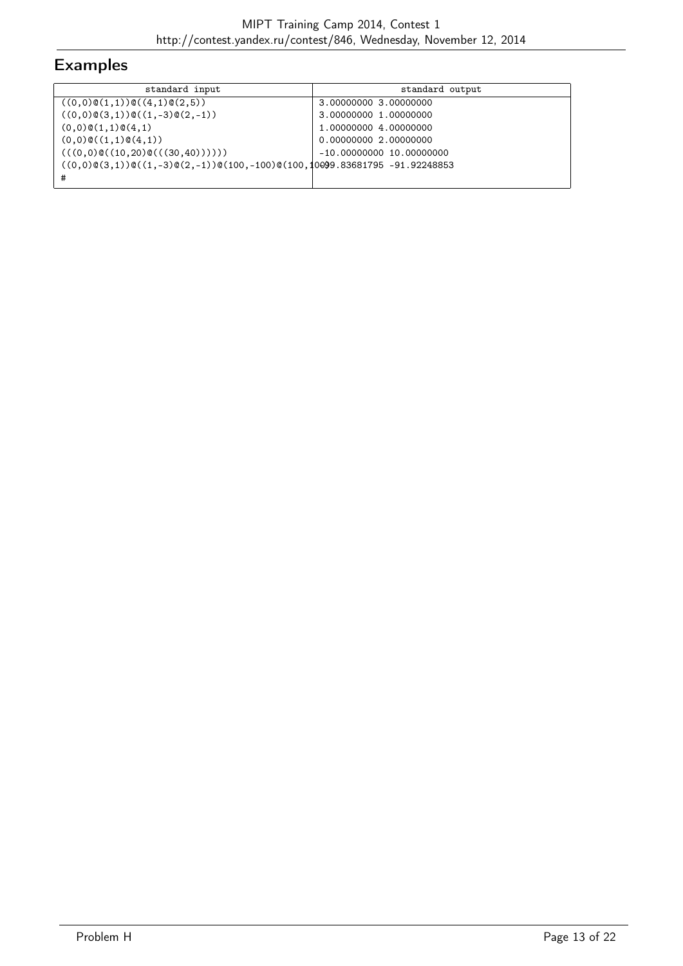| standard input                                                              | standard output           |
|-----------------------------------------------------------------------------|---------------------------|
| ((0,0)@(1,1))@((4,1)@(2,5))                                                 | 3.00000000 3.00000000     |
| $((0,0)@(3,1))@((1,-3)@(2,-1))$                                             | 3.00000000 1.00000000     |
| $(0,0)$ $(1,1)$ $(4,1)$                                                     | 1.00000000 4.00000000     |
| $(0,0)$ $\mathfrak{O}(1,1)$ $\mathfrak{O}(4,1)$                             | 0.00000000 2.00000000     |
| (((0,0)@((10,20)@(((30,40))))                                               | $-10.0000000010.00000000$ |
| $((0,0)@(3,1))@((1,-3)@(2,-1))@(100,-100)@(100,10099.83681795 -91.92248853$ |                           |
| #                                                                           |                           |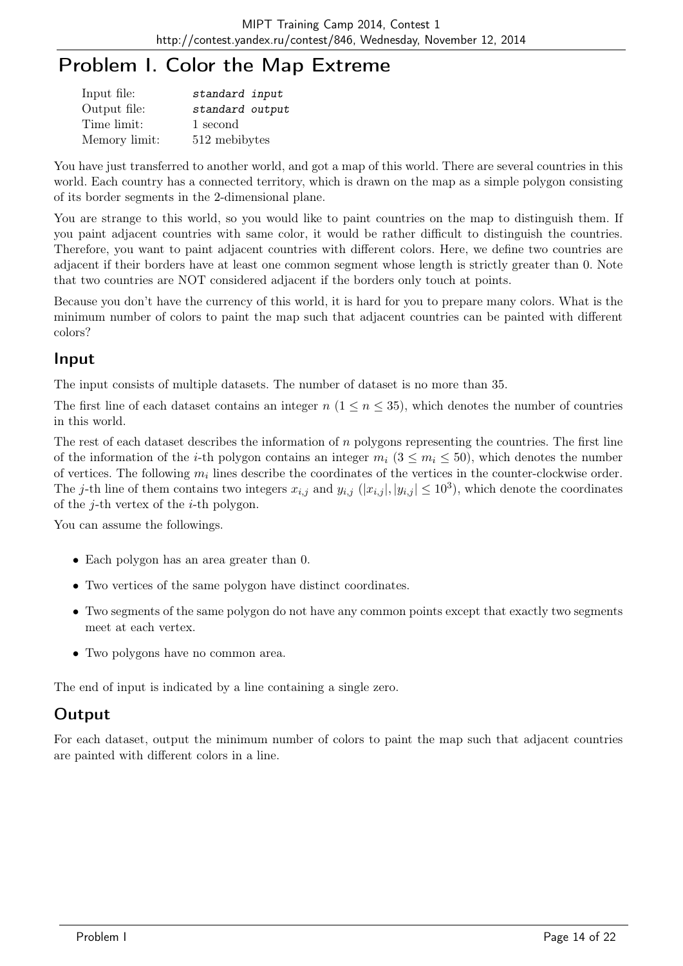# Problem I. Color the Map Extreme

| Input file:   | standard input  |
|---------------|-----------------|
| Output file:  | standard output |
| Time limit:   | 1 second        |
| Memory limit: | 512 mebibytes   |

You have just transferred to another world, and got a map of this world. There are several countries in this world. Each country has a connected territory, which is drawn on the map as a simple polygon consisting of its border segments in the 2-dimensional plane.

You are strange to this world, so you would like to paint countries on the map to distinguish them. If you paint adjacent countries with same color, it would be rather difficult to distinguish the countries. Therefore, you want to paint adjacent countries with different colors. Here, we define two countries are adjacent if their borders have at least one common segment whose length is strictly greater than 0. Note that two countries are NOT considered adjacent if the borders only touch at points.

Because you don't have the currency of this world, it is hard for you to prepare many colors. What is the minimum number of colors to paint the map such that adjacent countries can be painted with different colors?

#### Input

The input consists of multiple datasets. The number of dataset is no more than 35.

The first line of each dataset contains an integer  $n$  ( $1 \leq n \leq 35$ ), which denotes the number of countries in this world.

The rest of each dataset describes the information of n polygons representing the countries. The first line of the information of the *i*-th polygon contains an integer  $m_i$  ( $3 \le m_i \le 50$ ), which denotes the number of vertices. The following  $m_i$  lines describe the coordinates of the vertices in the counter-clockwise order. The j-th line of them contains two integers  $x_{i,j}$  and  $y_{i,j}$   $(|x_{i,j}|, |y_{i,j}| \leq 10^3)$ , which denote the coordinates of the j-th vertex of the i-th polygon.

You can assume the followings.

- Each polygon has an area greater than 0.
- Two vertices of the same polygon have distinct coordinates.
- Two segments of the same polygon do not have any common points except that exactly two segments meet at each vertex.
- Two polygons have no common area.

The end of input is indicated by a line containing a single zero.

### **Output**

For each dataset, output the minimum number of colors to paint the map such that adjacent countries are painted with different colors in a line.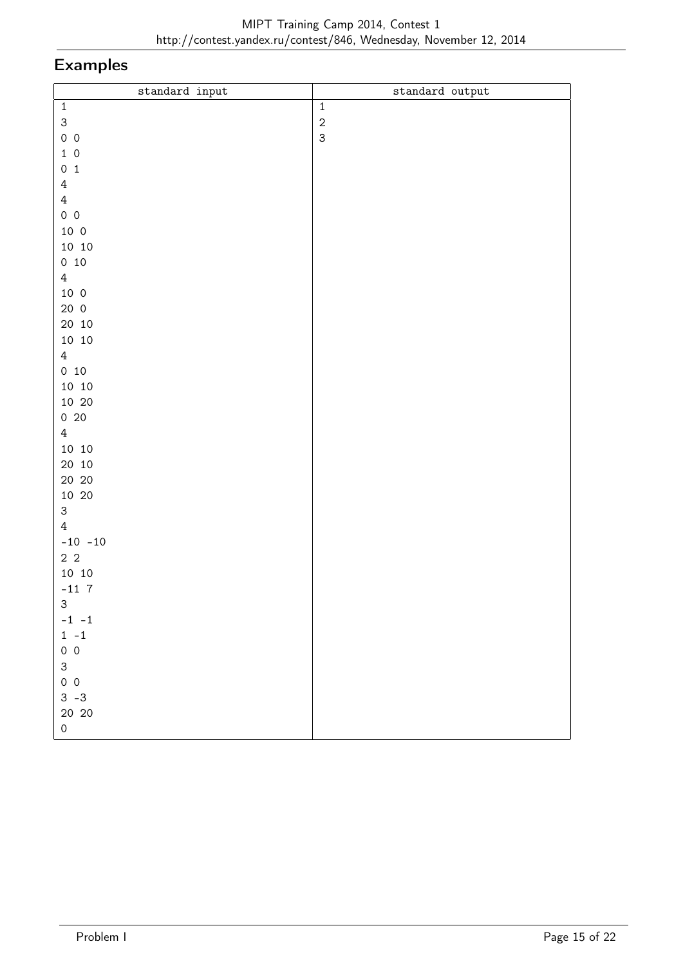| $\operatorname{standard}$ input | $\texttt{standard}$ $\texttt{output}$ |
|---------------------------------|---------------------------------------|
| $\mathbf 1$                     | $\mathbf 1$                           |
| $\mathsf{3}$                    | $\sqrt{2}$                            |
| $0\quad 0$                      | $\ensuremath{\mathsf{3}}$             |
| 10                              |                                       |
| 0 <sub>1</sub>                  |                                       |
| $\overline{4}$                  |                                       |
| $\overline{4}$                  |                                       |
| $0\quad 0$                      |                                       |
| 10 0                            |                                       |
| 10 10                           |                                       |
| 010                             |                                       |
| $\overline{4}$                  |                                       |
| 10 0                            |                                       |
| $20\hskip 4pt$ $0\hskip 4pt$    |                                       |
| $20\;\;10$                      |                                       |
| 10 10                           |                                       |
| $\overline{4}$                  |                                       |
| $0$ 10                          |                                       |
| 10 10                           |                                       |
| 10 20                           |                                       |
| 020                             |                                       |
| $\overline{4}$                  |                                       |
| $10\hskip 4pt 10$               |                                       |
| $20\;\;10$                      |                                       |
| $20\,$ $20\,$                   |                                       |
| $10\,$ $20\,$                   |                                       |
| $\mathsf{3}$                    |                                       |
| $\overline{4}$                  |                                       |
| $-10 - 10$                      |                                       |
| $2\,$ $2\,$                     |                                       |
| $10\hskip 4pt 10$               |                                       |
| $-11\,$ 7                       |                                       |
| $\mathsf 3$                     |                                       |
| $-1 -1$                         |                                       |
| $1 - 1$                         |                                       |
| $0\quad 0$                      |                                       |
| $\mathsf{3}$                    |                                       |
| $0\quad 0$                      |                                       |
| $3 - 3$                         |                                       |
| $20\,$ $20\,$                   |                                       |
| $\mathsf{O}\xspace$             |                                       |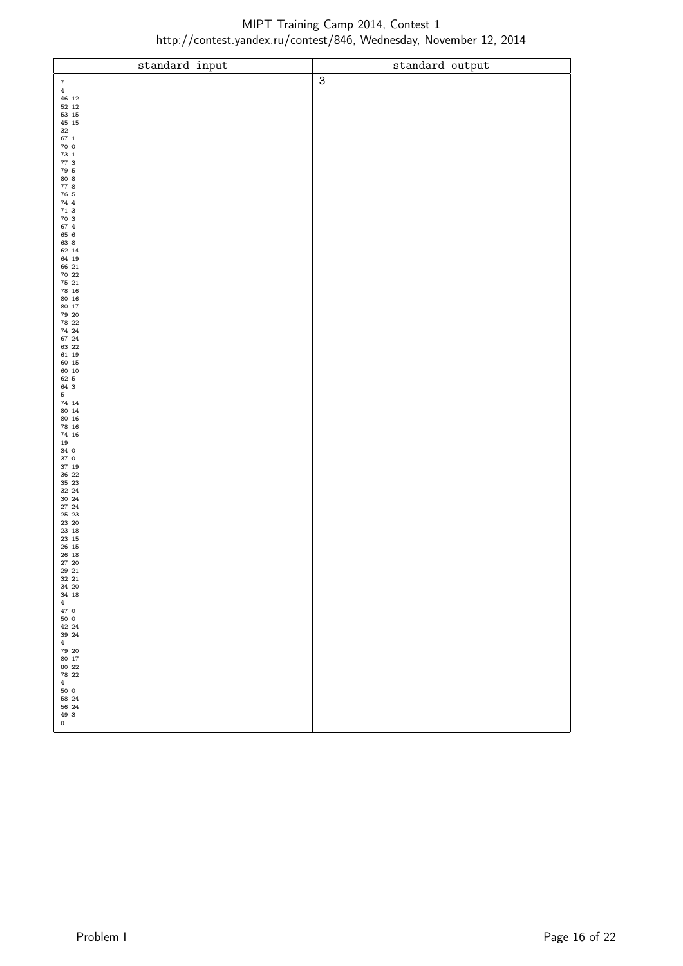|  |  | MIPT Training Camp 2014, Contest 1                                 |  |  |
|--|--|--------------------------------------------------------------------|--|--|
|  |  | http://contest.yandex.ru/contest/846, Wednesday, November 12, 2014 |  |  |

| standard input                     | standard output |
|------------------------------------|-----------------|
| $\boldsymbol{7}$<br>$\overline{4}$ | 3               |
| 46 12                              |                 |
| 52 12<br>53 15                     |                 |
| 45 15<br>32                        |                 |
| 67 1<br>70 0                       |                 |
| 73 1<br>77 3                       |                 |
| 79 5<br>80 8                       |                 |
| 77 8                               |                 |
| 76 5<br>74 4                       |                 |
| 71 3<br>70 3                       |                 |
| 67 4<br>65 6                       |                 |
| 63 8<br>62 14                      |                 |
| 64 19<br>66 21                     |                 |
| 70 22<br>75 21                     |                 |
| 78 16<br>80 16                     |                 |
| 80 17<br>79 20                     |                 |
| 78 22<br>74 24                     |                 |
| 67 24                              |                 |
| 63 22<br>61 19                     |                 |
| 60 15<br>60 10                     |                 |
| 62 5<br>64 3                       |                 |
| 5<br>74 14                         |                 |
| 80 14<br>80 16                     |                 |
| 78 16<br>74 16                     |                 |
| 19<br>34 0                         |                 |
| 37 0<br>37 19                      |                 |
| 36 22<br>35 23                     |                 |
| 32 24<br>30 24                     |                 |
| 27 24                              |                 |
| 25 23<br>23 20                     |                 |
| 23 18<br>23 15                     |                 |
| 26 15<br>26 18                     |                 |
| 27 20<br>29 21                     |                 |
| 32 21<br>34 20                     |                 |
| 34 18<br>$\overline{4}$            |                 |
| 47 0<br>50 0                       |                 |
| 42 24<br>39 24                     |                 |
| $\overline{4}$<br>79 20            |                 |
| 80 17<br>80 22                     |                 |
| 78 22                              |                 |
| $\overline{4}$<br>50 0             |                 |
| 58 24<br>56 24                     |                 |
| 49 3<br>$\mathsf{o}\,$             |                 |
|                                    |                 |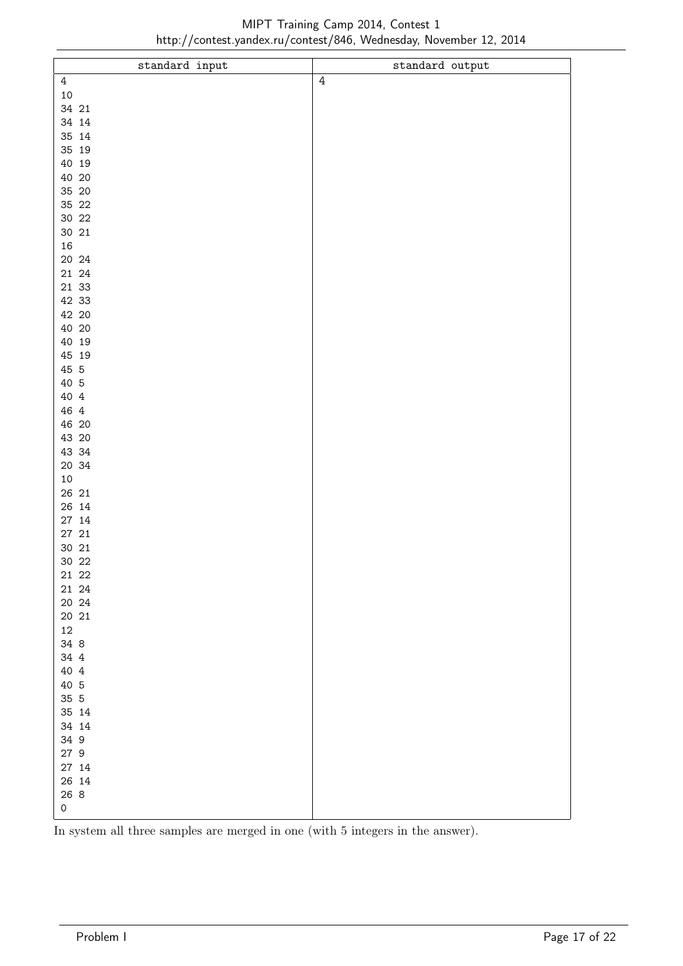|  |  | MIPT Training Camp 2014, Contest 1                                 |  |  |
|--|--|--------------------------------------------------------------------|--|--|
|  |  | http://contest.yandex.ru/contest/846, Wednesday, November 12, 2014 |  |  |

| standard input      | standard output |
|---------------------|-----------------|
| $\overline{4}$      | $\overline{4}$  |
| $10\,$              |                 |
| 34 21               |                 |
| 34 14               |                 |
| 35 14               |                 |
| 35 19               |                 |
| 40 19               |                 |
| 40 20               |                 |
| 35 20               |                 |
| 35 22               |                 |
| 30 22               |                 |
| 30 21               |                 |
| 16                  |                 |
| 20 24               |                 |
| 21 24               |                 |
| 21 33               |                 |
| 42 33               |                 |
| 42 20               |                 |
| 40 20               |                 |
| 40 19               |                 |
| 45 19               |                 |
| 45 5                |                 |
| 40 5                |                 |
| 40 4                |                 |
| 46 4                |                 |
| 46 20               |                 |
| 43 20               |                 |
| 43 34               |                 |
| 20 34               |                 |
| $10\,$              |                 |
| 26 21               |                 |
| 26 14               |                 |
| 27 14               |                 |
| 27 21               |                 |
| 30 21               |                 |
| 30 22               |                 |
| 21 22               |                 |
| 21 24               |                 |
| 20 24               |                 |
| 20 21               |                 |
| 12                  |                 |
| 34 8                |                 |
| 34 4                |                 |
| 40 4                |                 |
| 40 5                |                 |
| 35 5                |                 |
| 35 14               |                 |
| 34 14               |                 |
| 34 9                |                 |
| 27 9                |                 |
| 27 14               |                 |
| 26 14               |                 |
|                     |                 |
| 26 8                |                 |
| $\mathsf{O}\xspace$ |                 |

In system all three samples are merged in one (with 5 integers in the answer).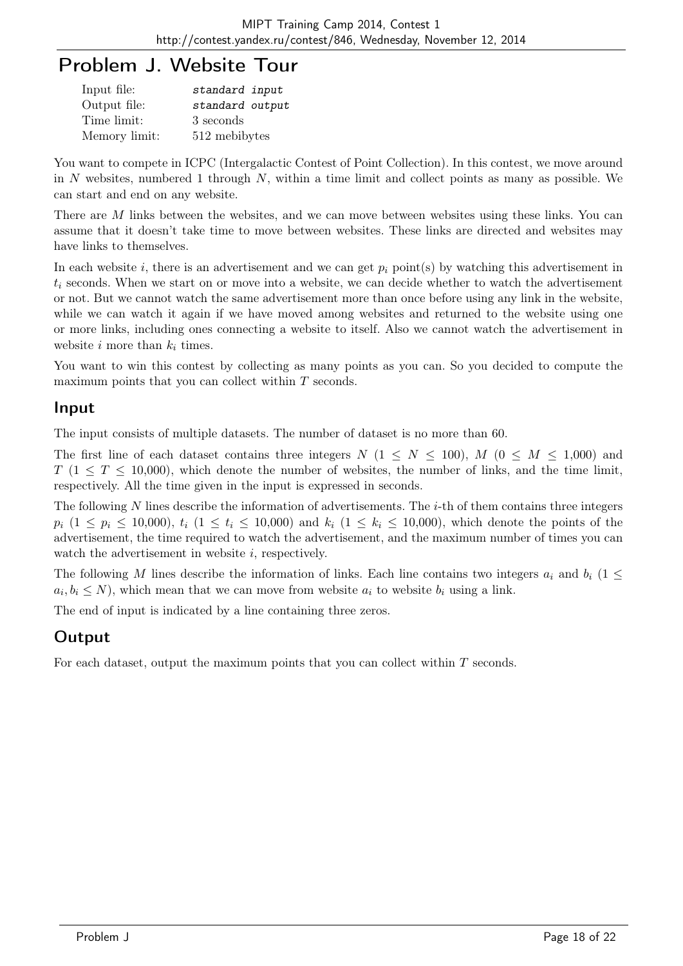# Problem J. Website Tour

| Input file:   | standard input  |
|---------------|-----------------|
| Output file:  | standard output |
| Time limit:   | 3 seconds       |
| Memory limit: | 512 mebibytes   |

You want to compete in ICPC (Intergalactic Contest of Point Collection). In this contest, we move around in  $N$  websites, numbered 1 through  $N$ , within a time limit and collect points as many as possible. We can start and end on any website.

There are M links between the websites, and we can move between websites using these links. You can assume that it doesn't take time to move between websites. These links are directed and websites may have links to themselves.

In each website i, there is an advertisement and we can get  $p_i$  point(s) by watching this advertisement in  $t_i$  seconds. When we start on or move into a website, we can decide whether to watch the advertisement or not. But we cannot watch the same advertisement more than once before using any link in the website, while we can watch it again if we have moved among websites and returned to the website using one or more links, including ones connecting a website to itself. Also we cannot watch the advertisement in website i more than  $k_i$  times.

You want to win this contest by collecting as many points as you can. So you decided to compute the maximum points that you can collect within  $T$  seconds.

#### Input

The input consists of multiple datasets. The number of dataset is no more than 60.

The first line of each dataset contains three integers  $N$  ( $1 \le N \le 100$ ),  $M$  ( $0 \le M \le 1,000$ ) and  $T (1 \leq T \leq 10,000)$ , which denote the number of websites, the number of links, and the time limit, respectively. All the time given in the input is expressed in seconds.

The following  $N$  lines describe the information of advertisements. The  $i$ -th of them contains three integers  $p_i$   $(1 \leq p_i \leq 10,000)$ ,  $t_i$   $(1 \leq t_i \leq 10,000)$  and  $k_i$   $(1 \leq k_i \leq 10,000)$ , which denote the points of the advertisement, the time required to watch the advertisement, and the maximum number of times you can watch the advertisement in website  $i$ , respectively.

The following M lines describe the information of links. Each line contains two integers  $a_i$  and  $b_i$  (1  $\leq$  $a_i, b_i \leq N$ , which mean that we can move from website  $a_i$  to website  $b_i$  using a link.

The end of input is indicated by a line containing three zeros.

### Output

For each dataset, output the maximum points that you can collect within T seconds.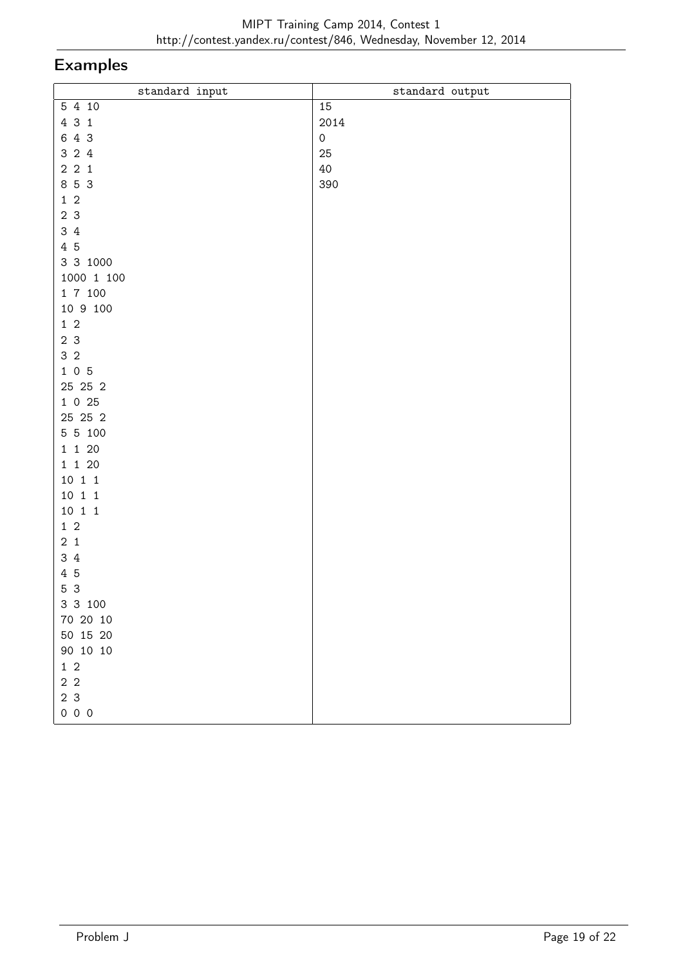| $\operatorname{standard}$ input    | standard output     |  |  |
|------------------------------------|---------------------|--|--|
| 5 4 10                             | 15                  |  |  |
| 4 3 1                              | 2014                |  |  |
| 6 4 3                              | $\mathsf{O}\xspace$ |  |  |
| 3 2 4                              | 25                  |  |  |
| 221                                | 40                  |  |  |
| 853                                | 390                 |  |  |
| $1\,$ $2\,$                        |                     |  |  |
| 2 3                                |                     |  |  |
| 3 4                                |                     |  |  |
| 4 5                                |                     |  |  |
| 3 3 1000                           |                     |  |  |
| 1000 1 100                         |                     |  |  |
| 1 7 100                            |                     |  |  |
| 10 9 100                           |                     |  |  |
| $1\,2$                             |                     |  |  |
| 2 <sub>3</sub>                     |                     |  |  |
| 3 <sub>2</sub>                     |                     |  |  |
| 105                                |                     |  |  |
| 25 25 2                            |                     |  |  |
| 1 0 25                             |                     |  |  |
| 25 25 2                            |                     |  |  |
| 5 5 100                            |                     |  |  |
| $1\ 1\ 20$                         |                     |  |  |
| 1 1 20                             |                     |  |  |
| $10\hspace{0.1cm}1\hspace{0.1cm}1$ |                     |  |  |
| 1011                               |                     |  |  |
| 1011                               |                     |  |  |
| $1\quad2$                          |                     |  |  |
| 2 <sub>1</sub>                     |                     |  |  |
| 3 4                                |                     |  |  |
| 4 5                                |                     |  |  |
| 5 3                                |                     |  |  |
| 3 3 100                            |                     |  |  |
| 70 20 10                           |                     |  |  |
| 50 15 20                           |                     |  |  |
| 90 10 10                           |                     |  |  |
| $1\,$ $2\,$                        |                     |  |  |
| $2\,2$                             |                     |  |  |
| 2 <sub>3</sub>                     |                     |  |  |
| $0\ 0\ 0$                          |                     |  |  |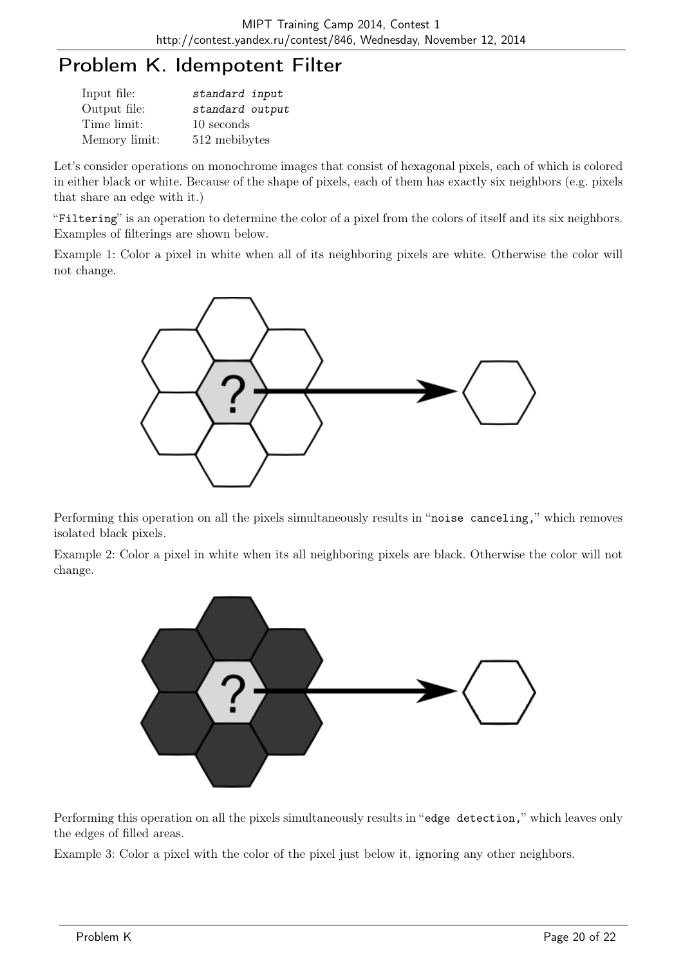# Problem K. Idempotent Filter

| Input file:   | standard input  |
|---------------|-----------------|
| Output file:  | standard output |
| Time limit:   | 10 seconds      |
| Memory limit: | 512 mebibytes   |

Let's consider operations on monochrome images that consist of hexagonal pixels, each of which is colored in either black or white. Because of the shape of pixels, each of them has exactly six neighbors (e.g. pixels that share an edge with it.)

"Filtering" is an operation to determine the color of a pixel from the colors of itself and its six neighbors. Examples of filterings are shown below.

Example 1: Color a pixel in white when all of its neighboring pixels are white. Otherwise the color will not change.



Performing this operation on all the pixels simultaneously results in "noise canceling," which removes isolated black pixels.

Example 2: Color a pixel in white when its all neighboring pixels are black. Otherwise the color will not change.



Performing this operation on all the pixels simultaneously results in "edge detection," which leaves only the edges of filled areas.

Example 3: Color a pixel with the color of the pixel just below it, ignoring any other neighbors.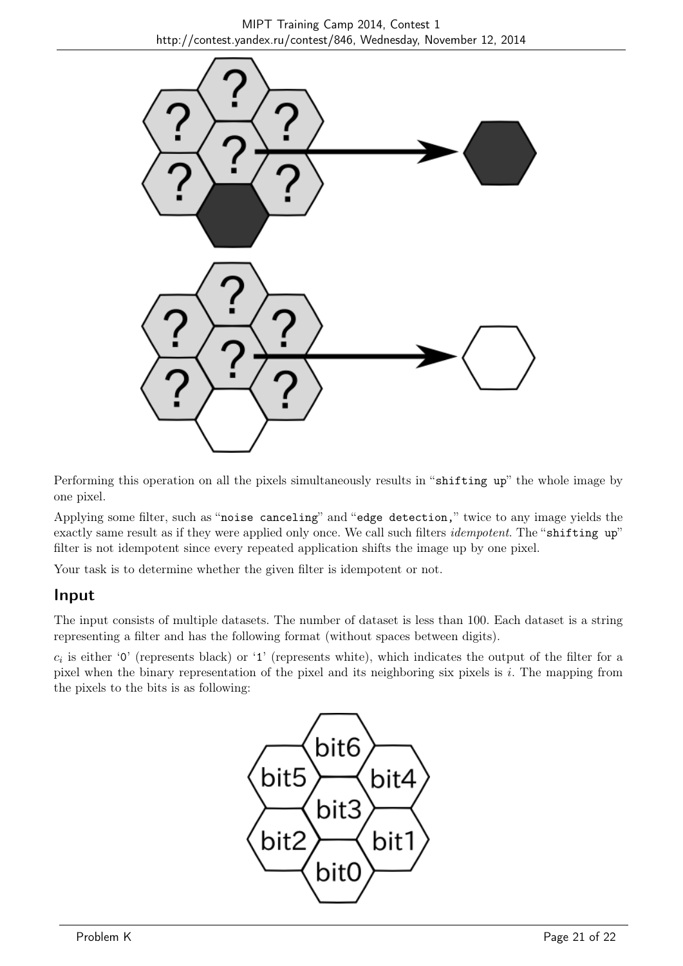

Performing this operation on all the pixels simultaneously results in "shifting up" the whole image by one pixel.

Applying some filter, such as "noise canceling" and "edge detection," twice to any image yields the exactly same result as if they were applied only once. We call such filters idempotent. The "shifting up" filter is not idempotent since every repeated application shifts the image up by one pixel.

Your task is to determine whether the given filter is idempotent or not.

#### Input

The input consists of multiple datasets. The number of dataset is less than 100. Each dataset is a string representing a filter and has the following format (without spaces between digits).

 $c_i$  is either '0' (represents black) or '1' (represents white), which indicates the output of the filter for a pixel when the binary representation of the pixel and its neighboring six pixels is i. The mapping from the pixels to the bits is as following: